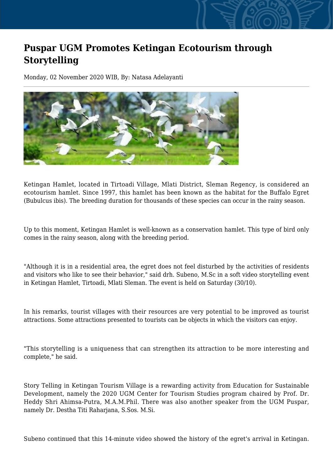## **Puspar UGM Promotes Ketingan Ecotourism through Storytelling**

Monday, 02 November 2020 WIB, By: Natasa Adelayanti



Ketingan Hamlet, located in Tirtoadi Village, Mlati District, Sleman Regency, is considered an ecotourism hamlet. Since 1997, this hamlet has been known as the habitat for the Buffalo Egret (Bubulcus ibis). The breeding duration for thousands of these species can occur in the rainy season.

Up to this moment, Ketingan Hamlet is well-known as a conservation hamlet. This type of bird only comes in the rainy season, along with the breeding period.

"Although it is in a residential area, the egret does not feel disturbed by the activities of residents and visitors who like to see their behavior," said drh. Subeno, M.Sc in a soft video storytelling event in Ketingan Hamlet, Tirtoadi, Mlati Sleman. The event is held on Saturday (30/10).

In his remarks, tourist villages with their resources are very potential to be improved as tourist attractions. Some attractions presented to tourists can be objects in which the visitors can enjoy.

"This storytelling is a uniqueness that can strengthen its attraction to be more interesting and complete," he said.

Story Telling in Ketingan Tourism Village is a rewarding activity from Education for Sustainable Development, namely the 2020 UGM Center for Tourism Studies program chaired by Prof. Dr. Heddy Shri Ahimsa-Putra, M.A.M.Phil. There was also another speaker from the UGM Puspar, namely Dr. Destha Titi Raharjana, S.Sos. M.Si.

Subeno continued that this 14-minute video showed the history of the egret's arrival in Ketingan.